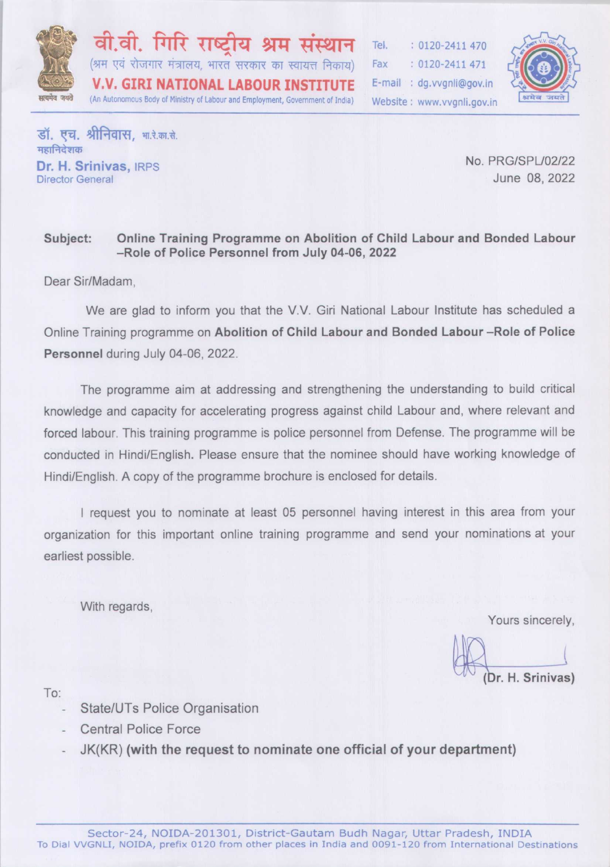

वी.वी. गिरि राष्टी श्राम (श्रम एवं रोजगार मंत्रालय, भारत सरकार का स्वायत्त निकाय) **V.V. GIRI NATIONAL LABOUR INSTITUTE** (An Autonomous Body of Ministry of Labour and Employment, Government of India)

Tel.  $: 0120 - 2411470$ Fax  $: 0120 - 2411471$ E-mail: dq.vvqnli@qov.in Website: www.vvanli.gov.in



डॉ. एच. श्रीनिवास. भारे.का.से. महानिदेशक Dr. H. Srinivas, IRPS **Director General** 

No. PRG/SPL/02/22 June 08, 2022

#### Subject: Online Training Programme on Abolition of Child Labour and Bonded Labour -Role of Police Personnel from July 04-06, 2022

Dear Sir/Madam.

We are glad to inform you that the V.V. Giri National Labour Institute has scheduled a Online Training programme on Abolition of Child Labour and Bonded Labour -Role of Police Personnel during July 04-06, 2022.

The programme aim at addressing and strengthening the understanding to build critical knowledge and capacity for accelerating progress against child Labour and, where relevant and forced labour. This training programme is police personnel from Defense. The programme will be conducted in Hindi/English. Please ensure that the nominee should have working knowledge of Hindi/English. A copy of the programme brochure is enclosed for details.

I request you to nominate at least 05 personnel having interest in this area from your organization for this important online training programme and send your nominations at your earliest possible.

With regards,

Yours sincerely,

Dr. H. Srinivas)

To:

- State/UTs Police Organisation
- **Central Police Force**
- JK(KR) (with the request to nominate one official of your department)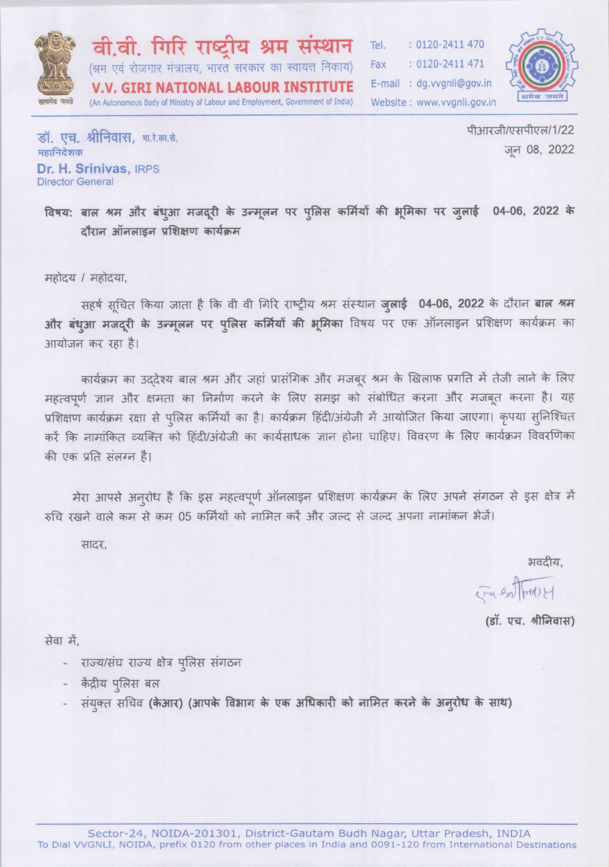

वी.वी. गिरि राष्टीय श्रम संस्थान (श्रम एवं रोजगार मंत्रालय, भारत सरकार का स्वायत्त निकाय) **V.V. GIRI NATIONAL LABOUR INSTITUTE** (An Autonomous Body of Ministry of Labour and Employment, Government of India)

: 0120-2411 470 Tel.  $: 0120 - 2411471$ Fax E-mail : dg.vvgnli@gov.in Website: www.vvgnli.gov.in



डॉ. एच. श्रीनिवास. भा.रे.का.से. महानिदेशक Dr. H. Srinivas, IRPS **Director General** 

पीआरजी/एसपीएल/1/22 जन 08, 2022

विषय: बाल श्रम और बंधुआ मजदूरी के उन्मूलन पर पुलिस कर्मियों की भूमिका पर जुलाई 04-06, 2022 के दौरान ऑनलाइन प्रशिक्षण कार्यक्रम

महोदय / महोदया,

सहर्ष सूचित किया जाता है कि वी वी गिरि राष्ट्रीय श्रम संस्थान जुलाई 04-06, 2022 के दौरान बाल श्रम और बंधुआ मजदूरी के उन्मूलन पर पुलिस कर्मियों की भूमिका विषय पर एक ऑनलाइन प्रशिक्षण कार्यक्रम का आयोजन कर रहा है।

कार्यक्रम का उददेश्य बाल श्रम और जहां प्रासंगिक और मजबूर श्रम के खिलाफ प्रगति में तेजी लाने के लिए महत्वपूर्ण ज्ञान और क्षमता का निर्माण करने के लिए समझ को संबोधित करना और मजबूत करना है। यह प्रशिक्षण कार्यक्रम रक्षा से पुलिस कर्मियों का है। कार्यक्रम हिंदी/अंग्रेजी में आयोजित किया जाएगा। कृपया सुनिश्चित करें कि नामांकित व्यक्ति को हिंदी/अंग्रेजी का कार्यसाधक ज्ञान होना चाहिए। विवरण के लिए कार्यक्रम विवरणिका की एक प्रति संलग्न है।

मेरा आपसे अनुरोध है कि इस महत्वपूर्ण ऑनलाइन प्रशिक्षण कार्यक्रम के लिए अपने संगठन से इस क्षेत्र में रुचि रखने वाले कम से कम 05 कर्मियों को नामित करें और जल्द से जल्द अपना नामांकन भेजें।

सादर.

भवदीय,

THE entropolet

(डॉ. एच. श्रीनिवास)

सेवा में.

- राज्य/संघ राज्य क्षेत्र पुलिस संगठन
- केंद्रीय पलिस बल
- संयुक्त सचिव (केआर) (आपके विभाग के एक अधिकारी को नामित करने के अनुरोध के साथ)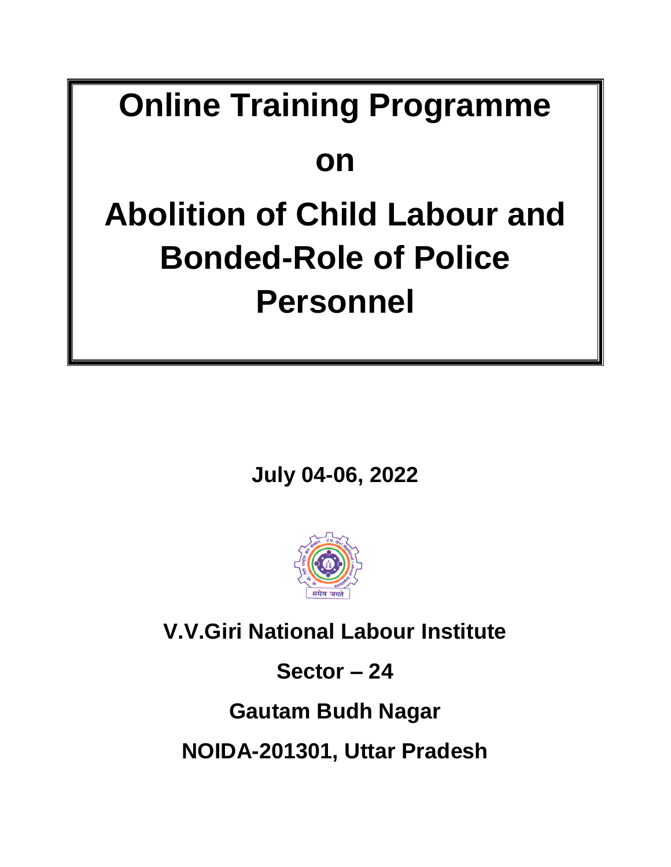## **Online Training Programme**

### **on**

# **Abolition of Child Labour and Bonded-Role of Police Personnel**

**July 04-06, 2022** 



**V.V.Giri National Labour Institute**

**Sector – 24**

**Gautam Budh Nagar**

**NOIDA-201301, Uttar Pradesh**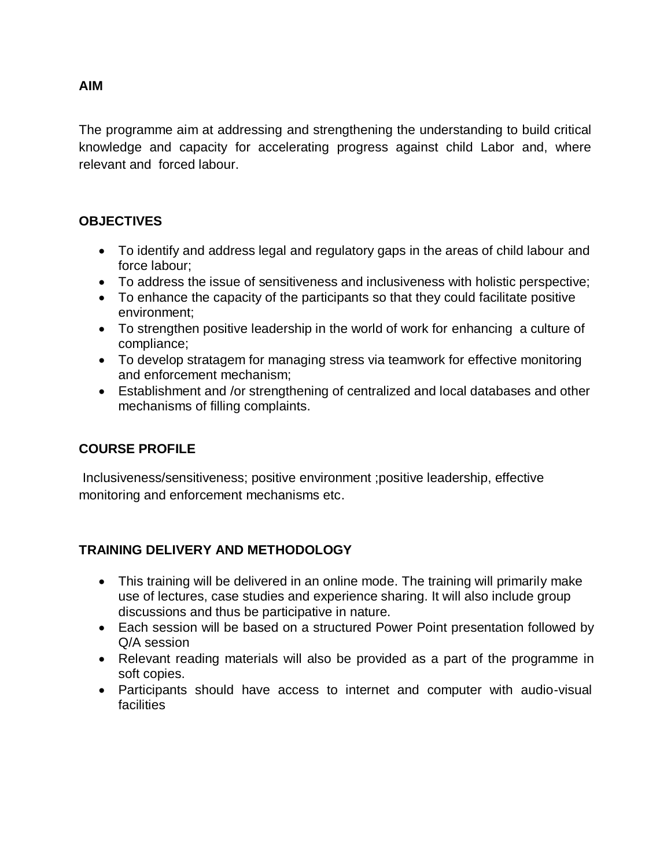The programme aim at addressing and strengthening the understanding to build critical knowledge and capacity for accelerating progress against child Labor and, where relevant and forced labour.

#### **OBJECTIVES**

- To identify and address legal and regulatory gaps in the areas of child labour and force labour;
- To address the issue of sensitiveness and inclusiveness with holistic perspective;
- To enhance the capacity of the participants so that they could facilitate positive environment;
- To strengthen positive leadership in the world of work for enhancing a culture of compliance;
- To develop stratagem for managing stress via teamwork for effective monitoring and enforcement mechanism;
- Establishment and /or strengthening of centralized and local databases and other mechanisms of filling complaints.

### **COURSE PROFILE**

Inclusiveness/sensitiveness; positive environment ;positive leadership, effective monitoring and enforcement mechanisms etc.

### **TRAINING DELIVERY AND METHODOLOGY**

- This training will be delivered in an online mode. The training will primarily make use of lectures, case studies and experience sharing. It will also include group discussions and thus be participative in nature.
- Each session will be based on a structured Power Point presentation followed by Q/A session
- Relevant reading materials will also be provided as a part of the programme in soft copies.
- Participants should have access to internet and computer with audio-visual facilities

#### **AIM**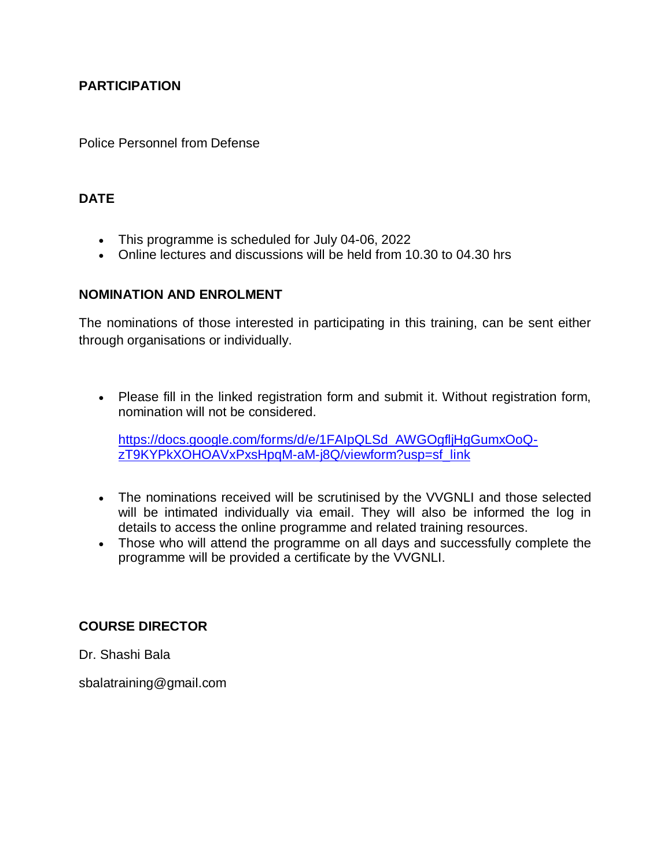#### **PARTICIPATION**

Police Personnel from Defense

#### **DATE**

- This programme is scheduled for July 04-06, 2022
- Online lectures and discussions will be held from 10.30 to 04.30 hrs

#### **NOMINATION AND ENROLMENT**

The nominations of those interested in participating in this training, can be sent either through organisations or individually.

 Please fill in the linked registration form and submit it. Without registration form, nomination will not be considered.

[https://docs.google.com/forms/d/e/1FAIpQLSd\\_AWGOgfljHgGumxOoQ](https://docs.google.com/forms/d/e/1FAIpQLSd_AWGOgfljHgGumxOoQ-zT9KYPkXOHOAVxPxsHpqM-aM-j8Q/viewform?usp=sf_link)[zT9KYPkXOHOAVxPxsHpqM-aM-j8Q/viewform?usp=sf\\_link](https://docs.google.com/forms/d/e/1FAIpQLSd_AWGOgfljHgGumxOoQ-zT9KYPkXOHOAVxPxsHpqM-aM-j8Q/viewform?usp=sf_link)

- The nominations received will be scrutinised by the VVGNLI and those selected will be intimated individually via email. They will also be informed the log in details to access the online programme and related training resources.
- Those who will attend the programme on all days and successfully complete the programme will be provided a certificate by the VVGNLI.

#### **COURSE DIRECTOR**

Dr. Shashi Bala

[sbalatraining@gmail.com](mailto:sbalatraining@gmail.com)